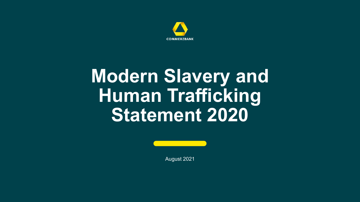

# **Modern Slavery and Human Trafficking Statement 2020**



August 2021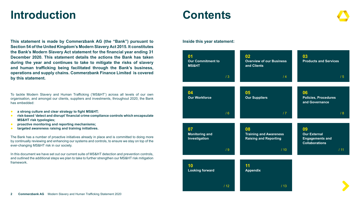# **Introduction Contents**

**This statement is made by Commerzbank AG (the "Bank") pursuant to Section 54 of the United Kingdom's Modern Slavery Act 2015. It constitutes the Bank's Modern Slavery Act statement for the financial year ending 31 December 2020. This statement details the actions the Bank has taken during the year and continues to take to mitigate the risks of slavery and human trafficking being facilitated through the Bank's business, operations and supply chains. Commerzbank Finance Limited is covered by this statement.**

To tackle Modern Slavery and Human Trafficking ('MS&HT') across all levels of our own organisation, and amongst our clients, suppliers and investments, throughout 2020, the Bank has embedded:

- a strong culture and clear strategy to fight MS&HT;
- **risk-based 'detect and disrupt' financial crime compliance controls which encapsulate MS&HT risk typologies;**
- proactive monitoring and reporting mechanisms;
- **targeted awareness raising and training initiatives.**

The Bank has a number of proactive initiatives already in place and is committed to doing more by continually reviewing and enhancing our systems and controls, to ensure we stay on top of the ever-changing MS&HT risk in our society.

In this document we have set out our current suite of MS&HT detection and prevention controls, and outlined the additional steps we plan to take to further strengthen our MS&HT risk mitigation framework.

**Inside this year statement:**

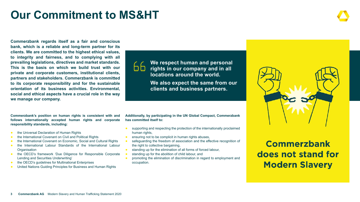# <span id="page-2-0"></span>**Our Commitment to MS&HT**

**Commerzbank regards itself as a fair and conscious bank, which is a reliable and long-term partner for its clients. We are committed to the highest ethical values, to integrity and fairness, and to complying with all prevailing legislations, directives and market standards. This is the basis on which we build trust with our private and corporate customers, institutional clients, partners and stakeholders. Commerzbank is committed to its corporate responsibility and for the sustainable orientation of its business activities. Environmental, social and ethical aspects have a crucial role in the way we manage our company.** 

66

**We respect human and personal rights in our company and in all locations around the world. We also expect the same from our** 

**clients and business partners.**

**Commerzbank's position on human rights is consistent with and follows internationally accepted human rights and corporate responsibility standards, including:**

- the Universal Declaration of Human Rights
- the International Covenant on Civil and Political Rights
- the International Covenant on Economic, Social and Cultural Rights
- the International Labour Standards of the International Labour **Organisation**
- the OECD's framework 'Due Diligence for Responsible Corporate Lending and Securities Underwriting'
- the OECD's guidelines for Multinational Enterprises
- United Nations Guiding Principles for Business and Human Rights

**Additionally, by participating in the UN Global Compact, Commerzbank has committed itself to:** 

- supporting and respecting the protection of the internationally proclaimed human rights,
- ensuring not to be complicit in human rights abuses,
- safeguarding the freedom of association and the effective recognition of the right to collective bargaining,
- standing up for the elimination of all forms of forced labour,
- standing up for the abolition of child labour, and
- promoting the elimination of discrimination in regard to employment and occupation.



### **Commerzbank** does not stand for **Modern Slavery**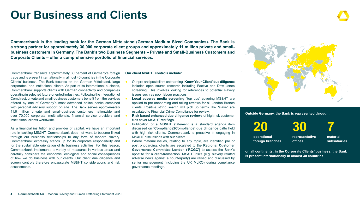# **Our Business and Clients**

**Commerzbank is the leading bank for the German Mittelstand (German Medium Sized Companies). The Bank is a strong partner for approximately 30,000 corporate client groups and approximately 11 million private and smallbusiness customers in Germany. The Bank's two Business Segments – Private and Small-Business Customers and Corporate Clients – offer a comprehensive portfolio of financial services.** 

Commerzbank transacts approximately 30 percent of Germany's foreign trade and is present internationally in almost 40 countries in the Corporate Clients' business. The Bank focuses on the German Mittelstand, large corporates, and institutional clients. As part of its international business, Commerzbank supports clients with German connectivity and companies operating in selected future-oriented industries. Following the integration of Comdirect, private and small-business customers benefit from the services offered by one of Germany's most advanced online banks combined with personal advisory support on site. The Bank serves approximately 11.6 million private and small-business customers nationwide and over 70,000 corporate, multinationals, financial service providers and institutional clients worldwide.

As a financial institution and provider of capital, we have an important role in tackling MS&HT. Commerzbank does not want to become linked through our business relationships to any form of modern slavery. Commerzbank expressly stands up for its corporate responsibility and for the sustainable orientation of its business activities. For this reason, Commerzbank implements a variety of measures in various areas and carefully considers the economic, ecological and social consequences of how we do business with our clients. Our client due diligence and screen controls therefore encapsulate MS&HT considerations and risk assessments.

**Our client MS&HT controls include:** 

- Our pre and post client onboarding **'Know Your Client' due diligence** includes open source research including Factiva and Dow Jones screening. This involves looking for references to potential slavery issues such as poor labour practices.
- **Local adverse media screening** "top ups" covering MS&HT are applied to pre-onboarding and rolling reviews for all London Branch clients. Positive string search will pick up terms like "slave" are escalated to Financial Crime Compliance for review.
- **Risk based enhanced due diligence reviews** of high risk customer files cover MS&HT red flags.
- Publication of a MS&HT statement is a standard agenda item discussed on **'Compliance2Compliance' due diligence calls** held with high risk clients. Commerzbank is proactive in engaging in MS&HT discussions with our clients.
- Where material issues, relating to any topic, are identified pre or post onboarding, clients are escalated to the **Regional Customer Governance Committee London ('RCGC')** to assess the Bank's appetite for a client/transaction. MS&HT risks (e.g. slavery related adverse news against a counterparty) are raised and discussed by senior management (including the UK MLRO) during compliance governance meetings.



**Outside Germany, the Bank is represented through:**



**on all continents; in the Corporate Clients' business, the Bank is present internationally in almost 40 countries**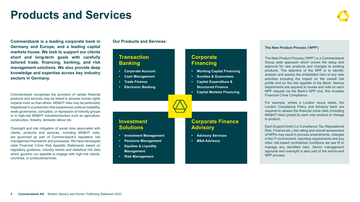# <span id="page-4-0"></span>**Products and Services**

**Commerzbank is a leading corporate bank in Germany and Europe, and a leading capital markets house. We look to support our clients short and long-term goals with carefully tailored trade, financing, banking, and risk management solutions. We also provide deep knowledge and expertise across key industry sectors in Germany.**

Commerzbank recognises the provision of certain financial products and services may be linked to adverse human rights impacts more so than others. MS&HT risks may be particularly heightened in a jurisdiction that experiences political instability, weak governance, corruption, or repression of minority groups or in high-risk MS&HT industries/sectors such as agriculture, construction, forestry, domestic labour etc.

Oversight and risk mitigation of social risks associated with clients, products and services, including MS&HT risks, are governed as part of Commerzbank's reputation risk management framework and processes. We have developed clear Financial Crime Risk Appetite Statements based on regulatory guidance, industry trends and statistical risk data which governs our appetite to engage with high-risk clients, countries, or products/services.

**Our Products and Services:**

### **Transaction Banking**

- **• Corporate Account**
- **• Cash Management**
- **• Trade Finance**

**Investment Solutions**

**• Investment Management • Pensions Management • Equities & Liquidity Management • Risk Management**

**• Electronic Banking**

### **Corporate Financing**

- **• Working Capital Financing**
- **• Sureties & Guarantees**
- **• Capital Expenditure &**
- **Structured Finance**
- **• Capital Markets Financing**

### **Corporate Finance Advisory**

- **• Advisory Services**
- **• M&A Advisory**

### **The New Product Process ('NPP')**

The New Product Process ('NPP') is a Commerzbank Group wide approach which covers the setup and approval for new products and changes to existing products. The objective of the NPP is to identify, analyse and assess the embedded risks of any new activities including the impact on the overall risk profile and on the risk appetite of the Bank. Various departments are required to review and vote on each NPP request via the Bank's NPP tool, this includes Financial Crime Compliance.

For example, where a London nexus exists, the London Compliance Policy and Advisory team are required to assess the financial crime risks (including MS&HT risks) posed by each new product or change in product.

Each Support Units' (i.e Compliance, Tax, Reputational Risk, Finance etc.) risk rating and overall assessment of NPPs may result in process amendments, changes in the IT environment, reporting requirements and any other risk-based controls/set conditions we see fit to manage any identified risks. Senior management approval and oversight is also part of the end-to-end NPP process.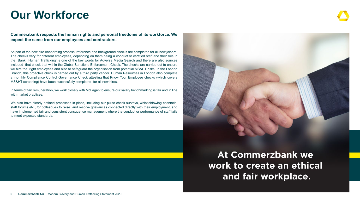### <span id="page-5-0"></span>**Our Workforce**

**Commerzbank respects the human rights and personal freedoms of its workforce. We expect the same from our employees and contractors.**

As part of the new hire onboarding process, reference and background checks are completed for all new joiners. The checks vary for different employees, depending on them being a conduct or certified staff and their role in the Bank. 'Human Trafficking' is one of the key words for Adverse Media Search and there are also sources included that check that within the Global Sanctions Enforcement Check. The checks are carried out to ensure we hire the right employees and also to safeguard the organisation from potential MS&HT risks. In the London Branch, this proactive check is carried out by a third party vendor. Human Resources in London also complete a monthly Compliance Control Governance Check attesting that Know Your Employee checks (which covers MS&HT screening) have been successfully completed for all new hires.

In terms of fair remuneration, we work closely with McLagan to ensure our salary benchmarking is fair and in line with market practices.

We also have clearly defined processes in place, including our pulse check surveys, whistleblowing channels, staff forums etc., for colleagues to raise and resolve grievances connected directly with their employment, and have implemented fair and consistent consquence management where the conduct or performance of staff fails to meet expected standards.



**At Commerzbank we** work to create an ethical and fair workplace.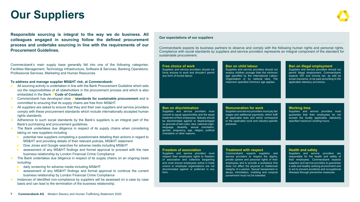# <span id="page-6-0"></span>**Our Suppliers**

**Responsible sourcing is integral to the way we do business. All colleagues engaged in sourcing follow the defined procurement process and undertake sourcing in line with the requirements of our Procurement Guidelines.**

Commerzbank's main supply base generally fall into one of the following categor Facilities Management, Technology Infrastructure, Software & Services, Banking Operations, Professional Services, Marketing and Human Resources.

#### **To address and manage supplier MS&HT risk, at Commerzbank:**

- All sourcing activity is undertaken in line with the Bank Procurement Guideline which out the responsibilities of all stakeholders in the procurement process and which is embedded in the Bank **[Code of Conduct](https://www.commerzbank.de/en/nachhaltigkeit/nachhaltigkeitsstandards/verhaltensrichtlinie/Verhaltensgrundsaetze.html)**.
- Commerzbank has developed clear *S* **[standards for sustainable procurement](https://www.commerzbank.de/en/nachhaltigkeit/nachhaltigkeitsstandards/nachhaltige_beschaffung/nachhaltige_beschaffung_.html)** and committed to ensuring that its supply chains are free from MS&HT.
- All suppliers are asked to ensure that they and their own suppliers and service providers comply with these procurement standards which include internationally accepted hun rights standards.
- Adherence to such social standards by the Bank's suppliers is an integral part of Bank's purchasing and procurement guidelines.
- The Bank undertakes due diligence in respect of its supply chains when consider taking on new suppliers including:
	- potential new suppliers completing a questionnaire detailing their actions in regard MS&HT and providing details of their relevant policies, MS&HT statement
	- Dow Jones and Google searches for adverse media including MS&HT
	- assessment of any MS&HT findings and formal approval to proceed with the business relationship by London Financial Crime Compliance
- The Bank undertakes due diligence in respect of its supply chains on an ongoing ba including:
	- daily screening for adverse media including MS&HT
	- assessment of any MS&HT findings and formal approval to continue the current business relationship by London Financial Crime Compliance
- Instances of identified non-compliance by suppliers will be assessed on a case by case basis and can lead to the termination of the business relationship.

#### **Our expectations of our suppliers**

Commerzbank expects its business partners to observe and comply with the following human rights and personal rights. Compliance with social standards by suppliers and service providers represents an integral component of the standard for sustainable procurement.

| ries:<br>ons. | <b>Free choice of work</b><br>Suppliers and service providers should not<br>force anyone to work and shouldn't permit<br>any form of forced labour.                        | <b>Ban on child labour</b><br>Suppliers and service providers should not<br>employ children younger than the minimum<br>age specified by the International Labour<br>Organisation or by national laws. The<br>maximum specified minimum age applies. | <b>Ban on illegal employment</b><br>Suppliers and service providers should not<br>permit illegal employment. Commerzbank<br>expects VAT and income tax, as well as<br>social insurance, to be paid according to the<br>applicable statutory provisions. |
|---------------|----------------------------------------------------------------------------------------------------------------------------------------------------------------------------|------------------------------------------------------------------------------------------------------------------------------------------------------------------------------------------------------------------------------------------------------|---------------------------------------------------------------------------------------------------------------------------------------------------------------------------------------------------------------------------------------------------------|
| sets<br>also  |                                                                                                                                                                            |                                                                                                                                                                                                                                                      |                                                                                                                                                                                                                                                         |
| $d$ is        |                                                                                                                                                                            |                                                                                                                                                                                                                                                      |                                                                                                                                                                                                                                                         |
| ders<br>man   | <b>Ban on discrimination</b><br>Suppliers and service providers must<br>commit to equal opportunities and the equal                                                        | <b>Remuneration for work</b><br>Suppliers and service providers must pay fair<br>wages and additional payments, which fulfil                                                                                                                         | <b>Working time</b><br>Suppliers and service providers must<br>guarantee that their employees do not                                                                                                                                                    |
| the           | treatment of their employees. Nobody should<br>be discriminated against or disadvantaged<br>on grounds of skin color, race, national origin,                               | all applicable laws and which correspond<br>to the applicable local and industry-specific<br>practices.                                                                                                                                              | exceed the locally applicable, statutorily<br>specified maximum working hours.                                                                                                                                                                          |
| ring          | language, disability, sexual orientation,<br>gender, pregnancy, age, religion, political<br>orientation or other reasons.                                                  |                                                                                                                                                                                                                                                      |                                                                                                                                                                                                                                                         |
| d to          |                                                                                                                                                                            |                                                                                                                                                                                                                                                      |                                                                                                                                                                                                                                                         |
| new           | <b>Freedom of association</b>                                                                                                                                              | <b>Treatment with respect</b>                                                                                                                                                                                                                        | <b>Health and safety</b>                                                                                                                                                                                                                                |
| asis          | Suppliers and service providers must<br>respect their employees rights to freedom<br>of association and collective bargaining<br>and must ensure employees active in trade | Commerzbank expects suppliers and<br>service providers to respect the dignity,<br>private sphere and personal rights of their<br>employees and to provide a workplace that                                                                           | Suppliers and service providers are<br>responsible for the health and safety of<br>their employees. Commerzbank expects<br>suppliers and service providers to quarantee                                                                                 |
| rent          | unions or employee organisations are not<br>discriminated against or preferred in any<br>form.                                                                             | does not affect the physical or intellectual<br>integrity of a person. Sexual harassment or<br>abuse, intimidation, mobbing and corporal<br>punishment must not be tolerated.                                                                        | a safe and healthy working environment and<br>to act to prevent accidents and occupational<br>illnesses through preventive measures.                                                                                                                    |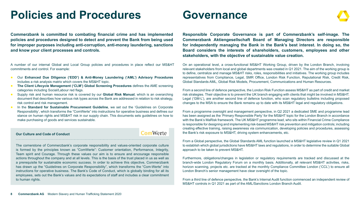# <span id="page-7-0"></span>**Policies and Procedures**

**Commerzbank is committed to combating financial crime and has implemented policies and procedures designed to detect and prevent the Bank from being used for improper purposes including anti-corruption, anti-money laundering, sanctions and know your client processes and controls.** 

A number of our internal Global and Local Group policies and procedures in place reflect our MS&HT commitments and control. For example:

- Our **Enhanced Due Diligence ('EDD') & Anti-Money Laundering ('AML') Advisory Procedures** includes a risk analysis matrix which covers the MS&HT topic.
- **The Client Lifecycle Management ('CLM') Global Screening Procedures** defines the AME screening categories including Social/Labour red flags.
- Supply risk and human resource risk is covered by our **Global Risk Manual**, which is an overarching document that describes how various risk types across the Bank are addressed in relation to risk strategy, risk control and risk management.
- **In the Standard for Sustainable Procurement Guideline**, we set out the 'Guidelines on Corporate Responsibility', which transforms the "ComWerte" into instructions for operative business and defines our stance on human rights and MS&HT risk in our supply chain. This documents sets guidelines on how to make purchasing of goods and services sustainable.

#### **Our Culture and Code of Conduct**

### **ComWerte**

The cornerstone of Commerzbank's corporate responsibility and values-oriented corporate culture is formed by the principles known as "ComWerte": Customer orientation, Performance, Integrity, Team spirit and Courage. Through these values our aim is to ensure and encourage responsible actions throughout the company and at all levels. This is the basis of the trust placed in us as well as a prerequisite for sustainable economic success. In order to achieve this objective, Commerzbank has drawn up the "Guidelines on Corporate Responsibility", which transforms the "Com-Werte" into instructions for operative business. The Bank's Code of Conduct, which is globally binding for all its employees, sets out the Bank's values and its expectations of staff and includes a clear commitment to human rights.

### **Governance**

**Responsible Corporate Governance is part of Commerzbank's self-image. The Commerzbank Aktiengesellschaft Board of Managing Directors are responsible for independently managing the Bank in the Bank's best interest. In doing so, the Board considers the interests of shareholders, customers, employees and other stakeholders, with the objective of sustainable value creation.**

On an operational level, a cross-functional MS&HT Working Group, driven by the London Branch, involving relevant stakeholders from local and global departments was created in Q1 2021. The aim of the working group is to define, centralize and manage MS&HT risks, roles, responsibilities and initiatives. The working group includes representatives from Compliance, Legal, SMR Office, London Risk Function, Reputational Risk, Credit Risk, Global Standards AML, Global Risk Models, Procurement, Communications and Human Resources.

From a second line of defence perspective, the London Risk Function assess MS&HT as part of credit and market risk strategies. Their objective is to prevent the UK branch engaging with clients that might be involved in MS&HT. Legal ('GM-L'), are another second line of defence function, who scan regulatory bulletins including proposed changes to the MSA to ensure the Bank remains up to date with its MS&HT legal and regulatory obligations.

From a programme oversight and management perspective, in Q2 2021 a dedicated SME and programme lead has been assigned as the 'Primary Responsible Party' for the MS&HT topic for the London Branch in accordance with the Bank's MaRisk framework. The UK MS&HT programme lead, who sits within Financial Crime Compliance is responsible for designing and implementing risk-based MS&HT risk prevention and mitigation controls; including creating effective training, raising awareness via communication, developing policies and procedures, assessing the Bank's risk exposure to MS&HT, driving system enhancements, etc.

From a Global perspective, the Global Standards AML function launched a MS&HT legislative review in Q1 2021 to establish which global jurisdictions have MS&HT laws and regulations, in order to determine the suitable Global approach to be taken to prevent MS&HT.

Furthermore, obligations/changes in legislation or regulatory requirements are tracked and discussed at the branch-wide London Regulatory Forum on a monthly basis. Additionally, all relevant MS&HT activities, risks, horizon scanning, projects etc. are tracked at the monthly Compliance Committee London ('CCL') to ensure all London Branch's senior management have clear oversight of the topic.

From a third line of defence perspective, the Bank's Internal Audit function commenced an independent review of MS&HT controls in Q1 2021 as part of the AML/Sanctions London Branch Audit.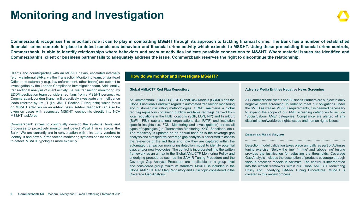# <span id="page-8-0"></span>**Monitoring and Investigation**

**Commerzbank recognises the important role it can to play in combatting MS&HT through its approach to tackling financial crime. The Bank has a number of established financial crime controls in place to detect suspicious behaviour and financial crime activity which extends to MS&HT. Using these pre-existing financial crime controls, Commerzbank is able to identify relationships where behaviors and account activities indicate possible connections to MS&HT. Where material issues are identified and Commerzbank's client or business partner fails to adequately address the issue, Commerzbank reserves the right to discontinue the relationship.**

Clients and counterparties with an MS&HT nexus, escalated internally (e.g. via internal SARs, via the Transaction Monitoring team, or via Head Office) and externally (e.g. law enforcement, other banks) are subject to investigation by the London Compliance Investigation team. Additionally, transactional analysis of client activity (i.e. via transaction monitoring) by EDD/Investigation team considers red flags from a MS&HT perspective. Commerzbank London Branch will proactively investigate any intelligence leads referred by JMLIT (i.e. JMLIT Section 7 Requests) which focus on MS&HT activities on an ad-hoc basis. Ad-hoc feedback can also be given on cases with suspected MS&HT touchpoints directly into NCA MS&HT taskforce.

Commerzbank strives to continually develop the systems, tools and processes to proactively monitor and detect MS&HT risks across the Bank. We are currently are in conversation with third party vendors to identify if and how our transaction monitoring systems can be enhanced to detect MS&HT typologies more explicitly.

### **How do we monitor and investigate MS&HT?**

### **Global AML/CTF Red Flag Repository**

At Commerzbank, GM-CO GFCP Global Risk Models (GRMO) has the Global Functional Lead with regard to automated transaction monitoring and customer risk rating methodologies. GRMO maintains a global red flag repository containing publicly available red flags derived from local regulations in the HUB locations (SGP, LON, NY) and Frankfurt (BaFin, FIU), supranational organisations (i.e. FATF) and institution specific insights (i.e. FCU, Monitoring and Investigations) across all types of typologies (i.e. Transaction Monitoring, KYC, Sanctions, etc.). The repository is updated on an annual base as is the coverage gap analysis and a respective coverage gap analysis is performed to assess the relevance of the red flags and how they are captured within the automated transaction monitoring detection model to identify potential gaps and/or new typologies. The control is incorporated into the written framework as an annex to the Global AML/CTF Monitoring Policy and underlying procedures such as the SAM-R Tuning Procedure and the Coverage Gap Analysis Procedure are applicable on a group level and considered group minimum standard. MS&HT is included in the Global AML/CTF Red Flag Repository and a risk topic considered in the Coverage Gap Analysis.

### **Adverse Media Entities Negative News Screening**

All Commerzbank clients and Business Partners are subject to daily negative news screening. In order to meet our obligations under the 6MLD as well as MS&HT requirements, it is deemed necessary to expand the scope of our AME screening categories to include "Social/Labour AME" categories. Compliance are alerted of any discrimination/workforce rights issues and human rights issues.

#### **Detection Model Review**

Detection model validation takes place annually as part of Actimize tuning exercise. 'Below the line', 'in line' and 'above line' testing provides the justification for adjusting the thresholds. Coverage Gap Analysis includes the description of products coverage through various detection models in Actimize. The control is incorporated into the written framework within our Global AML/CTF Monitoring Policy and underlying SAM-R Tuning Procedures. MS&HT is covered in this review process.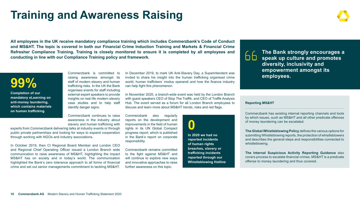# <span id="page-9-0"></span>**Training and Awareness Raising**

**All employees in the UK receive mandatory compliance training which includes Commerzbank's Code of Conduct and MS&HT. The topic is covered in both our Financial Crime Induction Training and Markets & Financial Crime Refresher Compliance Training. Training is closely monitored to ensure it is completed by all employees and conducting in line with our Compliance Training policy and framework.**

### **99%**

**Completion of our mandatory eLearning on anti-money laundering, which contains materials on human trafficking**

raising awareness amongst its staff of modern slavery and human trafficking risks. In the UK the Bank organises events for staff including external expert speakers to provide insights on real life modern slavery case studies and to help staff identify danger signs.

Commerzbank is committed to

Commerzbank continues to raise awareness in the industry about slavery and human trafficking with

experts from Commerzbank delivering talks at industry events or through public private partnerships and looking for ways to expand cooperation through working with NGOs and industry associations.

In October 2019, then CI Regional Board Member and London CEO and Regional Chief Operating Officer issued a London Branch wide communication to raise awareness of MS&HT, highlighting the impact MS&HT has on society and in today's world. The communication highlighted the Bank's zero tolerance approach to all forms of financial crime and set out senior managements commitment to tackling MS&HT.

In December 2019, to mark UK Anti-Slavery Day, a Superintendent was invited to share his insight into the human trafficking organised crime world, human traffickers' modus operandi and how the finance industry can help fight this phenomenon.

In November 2020, a branch-wide event was held by the London Branch with guest speakers CEO of Stop The Traffik, and CEO of Traffik Analysis Hub. The event served as a forum for all London Branch employees to discuss and learn more about MS&HT trends, risks and red flags.

Commerzbank also regularly reports on the development and improvements in the field of human rights in its UN Global Compact progress report, which is published in the Bank's report on corporate responsibility.

Commerzbank remains committed to the fight against MS&HT and will continue to explore new ways and innovative approaches to raise further awareness on this topic.

**0 In 2020 we had no reported incidents of human rights breaches, slavery or trafficking incidents reported through our Whistleblowing Hotline**



**The Bank strongly encourages a speak up culture and promotes diversity, inclusivity and empowerment amongst its employees.**

### **Reporting MS&HT**

Commerzbank has existing internal reporting channels and tools by which issues, such as MS&HT and all other predicate offences of money laundering can be escalated.

**The Global Whistleblowing Policy** defines the various options for submitting Whistleblowing reports, the protection of whistleblowers and describes the general steps and responsibilities connected to whistleblowing.

**The Internal Suspicious Activity Reporting Guidance** also covers process to escalate financial crimes, MS&HT is a predicate offense to money laundering and thus covered.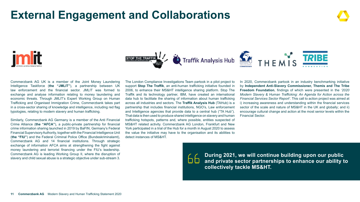# <span id="page-10-0"></span>**External Engagement and Collaborations**





Commerzbank AG UK is a member of the Joint Money Laundering Intelligence Taskforce (**the "JMLIT"**), a partnership between UK law enforcement and the financial sector. JMLIT was formed to exchange and analyse information relating to money laundering and economic threats. Through JMLIT's Expert Working Group on Human Trafficking and Organised Immigration Crime, Commerzbank takes part in a cross-sector sharing of knowledge and intelligence, including red flag typologies, relating to modern slavery and human trafficking.

Similarly, Commerzbank AG Germany is a member of the Anti Financial Crime Alliance (**the "AFCA"**), a public-private partnership for financial crime information sharing launched in 2019 by BaFIN, Germany's Federal Financial Supervisory Authority, together with the Financial Intelligence Unit (**the "FIU"**) and the Federal Criminal Police Office (Bundeskriminalamt), Commerzbank AG and 14 financial institutions. Through strategic exchange of information AFCA aims at strengthening the fight against money laundering and terrorist financing under the FIU's leadership. Commerzbank AG is leading Working Group II, where the disruption of slavery and child sexual abuse is a strategic objective under sub-stream 3.

The London Compliance Investigations Team partook in a pilot project to support **Stop The Traffik**, an anti-human trafficking initiative founded in 2006, to enhance their MS&HT intelligence sharing platform. Stop The Traffik and its technology partner, IBM, have created an international data hub to facilitate the sharing of information about human trafficking across all industries and sectors. The **Traffik Analysis Hub** (TAHub) is a partnership that includes financial institutions, NGO's, Law enforcement and Intelligence agencies that provide data to a central hub ("TA Hub"). That data is then used to produce shared intelligence on slavery and human trafficking hotspots, patterns and, where possible, entities suspected of MS&HT related activity. Commerzbank AG London, Frankfurt and New York participated in a trial of the Hub for a month in August 2020 to assess the value the initiative may have to the organisation and its abilities to detect instances of MS&HT.

In 2020, Commerzbank partook in an industry benchmarking initiative by **Independent Anti-Slavery Commissioner, Themis and The Tribe Freedom Foundation**, findings of which were presented in the *'2020 Modern Slavery & Human Trafficking: An Agenda for Action across the Financial Services Sector Report'*. This call to action project was aimed at i) increasing awareness and understanding within the financial services sector of the scale and nature of MS&HT in the UK and globally; and ii) encourage cultural change and action at the most senior levels within the Financial Sector.

66

**During 2021, we will continue building upon our public and private sector partnerships to enhance our ability to collectively tackle MS&HT.**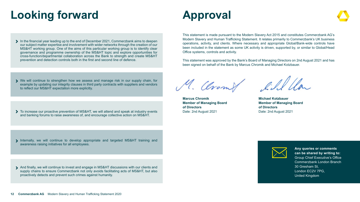# <span id="page-11-0"></span>**Looking forward**

- In the financial year leading up to the end of December 2021, Commerzbank aims to deepen our subject matter expertise and involvement with wider networks through the creation of our MS&HT working group. One of the aims of this particular working group is to identify clear governance and programme ownership of the MS&HT topic and explore opportunities for cross-function/departmental collaboration across the Bank to strength and create MS&HT prevention and detection controls both in the first and second line of defence.
- We will continue to strengthen how we assess and manage risk in our supply chain, for example by updating our integrity clauses in third party contracts with suppliers and vendors to reflect our MS&HT expectation more explicitly.
- $\triangleright$  To increase our proactive prevention of MS&HT, we will attend and speak at industry events and banking forums to raise awareness of, and encourage collective action on MS&HT.

Internally, we will continue to develop appropriate and targeted MS&HT training and awareness raising initiatives for all employees.

And finally, we will continue to invest and engage in MS&HT discussions with our clients and supply chains to ensure Commerzbank not only avoids facilitating acts of MS&HT, but also proactively detects and prevent such crimes against humanity.

# **Approval**

This statement is made pursuant to the Modern Slavery Act 2015 and constitutes Commerzbank AG's Modern Slavery and Human Trafficking Statement. It relates primarily to Commerzbank's UK business operations, activity, and clients. Where necessary and appropriate Global/Bank-wide controls have been included in the statement as some UK activity is driven, supported by, or similar to Global/Head Office systems, controls and activity.

This statement was approved by the Bank's Board of Managing Directors on 2nd August 2021 and has been signed on behalf of the Bank by Marcus Chromik and Michael Kotzbauer.

M. Clromf fill lla

**Marcus Chromik Member of Managing Board of Directors** Date: 2nd August 2021

**Michael Kotzbauer Member of Managing Board of Directors** Date: 2nd August 2021



**Any queries or comments can be shared by writing to:** Group Chief Executive's Office Commerzbank London Branch 30 Gresham St, London EC2V 7PG, United Kingdom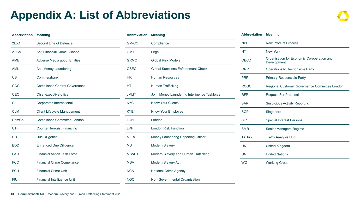# <span id="page-12-0"></span>**Appendix A: List of Abbreviations**

| <b>Abbreviation</b> | <b>Meaning</b>                       |
|---------------------|--------------------------------------|
| 2LoD                | Second Line of Defence               |
| <b>AFCA</b>         | Anti Financial Crime Alliance        |
| <b>AME</b>          | Adverse Media about Entities         |
| AML                 | Anti-Money Laundering                |
| CB                  | Commerzbank                          |
| <b>CCG</b>          | <b>Compliance Control Governance</b> |
| CEO                 | Chief executive officer              |
| <b>CI</b>           | Corporates International             |
| <b>CLM</b>          | <b>Client Lifecycle Management</b>   |
| ComCo               | Compliance Committee London          |
| <b>CTF</b>          | <b>Counter Terrorist Financing</b>   |
| DD                  | Due Diligence                        |
| <b>EDD</b>          | <b>Enhanced Due Diligence</b>        |
| <b>FATF</b>         | <b>Financial Action Task Force</b>   |
| <b>FCC</b>          | <b>Financial Crime Compliance</b>    |
| <b>FCU</b>          | <b>Financial Crime Unit</b>          |
| FIU                 | <b>Financial Intelligence Unit</b>   |

| <b>Abbreviation</b> | <b>Meaning</b>                                |
|---------------------|-----------------------------------------------|
| GM-CO               | Compliance                                    |
| GM-L                | Legal                                         |
| <b>GRMO</b>         | <b>Global Risk Models</b>                     |
| <b>GSEC</b>         | <b>Global Sanctions Enforcement Check</b>     |
| <b>HR</b>           | <b>Human Resources</b>                        |
| НT                  | <b>Human Trafficking</b>                      |
| <b>JMLIT</b>        | Joint Money Laundering Intelligence Taskforce |
| <b>KYC</b>          | <b>Know Your Clients</b>                      |
| <b>KYF</b>          | Know Your Employee                            |
| LON                 | London                                        |
| LRF                 | <b>London Risk Function</b>                   |
| <b>MLRO</b>         | Money Laundering Reporting Officer            |
| <b>MS</b>           | <b>Modern Slavery</b>                         |
| MS&HT               | Modern Slavery and Human Trafficking          |
| <b>MSA</b>          | Modern Slavery Act                            |
| <b>NCA</b>          | <b>National Crime Agency</b>                  |
| <b>NGO</b>          | Non-Governmental Organisation                 |

| <b>Abbreviation</b> | <b>Meaning</b>                                            |
|---------------------|-----------------------------------------------------------|
| <b>NPP</b>          | <b>New Product Process</b>                                |
| <b>NY</b>           | <b>New York</b>                                           |
| <b>OECD</b>         | Organisation for Economic Co-operation and<br>Development |
| <b>ORP</b>          | <b>Operationally Responsible Party</b>                    |
| <b>PRP</b>          | <b>Primary Responsible Party</b>                          |
| <b>RCGC</b>         | Regional Customer Governance Committee London             |
| <b>RFP</b>          | <b>Request For Proposal</b>                               |
| <b>SAR</b>          | <b>Suspicious Activity Reporting</b>                      |
| <b>SGP</b>          | Singapore                                                 |
| <b>SIP</b>          | <b>Special Interest Persons</b>                           |
| <b>SMR</b>          | Senior Managers Regime                                    |
| <b>TAHub</b>        | <b>Traffik Analysis Hub</b>                               |
| <b>UK</b>           | <b>United Kingdom</b>                                     |
| <b>UN</b>           | <b>United Nations</b>                                     |
| WG                  | <b>Working Group</b>                                      |
|                     |                                                           |